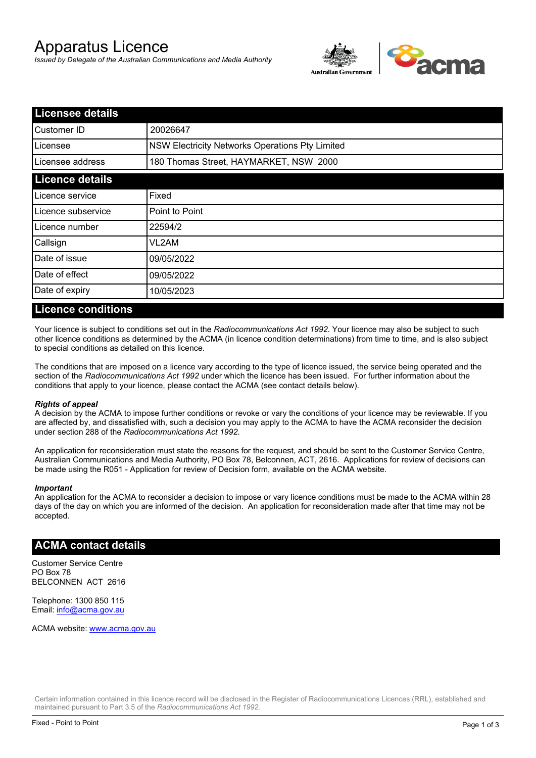# Apparatus Licence

*Issued by Delegate of the Australian Communications and Media Authority*



| <b>Licensee details</b> |                                                 |  |
|-------------------------|-------------------------------------------------|--|
| Customer ID             | 20026647                                        |  |
| Licensee                | NSW Electricity Networks Operations Pty Limited |  |
| Licensee address        | 180 Thomas Street, HAYMARKET, NSW 2000          |  |
| <b>Licence details</b>  |                                                 |  |
| Licence service         | Fixed                                           |  |
| Licence subservice      | Point to Point                                  |  |
| Licence number          | 22594/2                                         |  |
| Callsign                | VL2AM                                           |  |
| Date of issue           | 09/05/2022                                      |  |
| Date of effect          | 09/05/2022                                      |  |
| Date of expiry          | 10/05/2023                                      |  |

### **Licence conditions**

Your licence is subject to conditions set out in the *Radiocommunications Act 1992*. Your licence may also be subject to such other licence conditions as determined by the ACMA (in licence condition determinations) from time to time, and is also subject to special conditions as detailed on this licence.

The conditions that are imposed on a licence vary according to the type of licence issued, the service being operated and the section of the *Radiocommunications Act 1992* under which the licence has been issued. For further information about the conditions that apply to your licence, please contact the ACMA (see contact details below).

#### *Rights of appeal*

A decision by the ACMA to impose further conditions or revoke or vary the conditions of your licence may be reviewable. If you are affected by, and dissatisfied with, such a decision you may apply to the ACMA to have the ACMA reconsider the decision under section 288 of the *Radiocommunications Act 1992*.

An application for reconsideration must state the reasons for the request, and should be sent to the Customer Service Centre, Australian Communications and Media Authority, PO Box 78, Belconnen, ACT, 2616. Applications for review of decisions can be made using the R051 - Application for review of Decision form, available on the ACMA website.

#### *Important*

An application for the ACMA to reconsider a decision to impose or vary licence conditions must be made to the ACMA within 28 days of the day on which you are informed of the decision. An application for reconsideration made after that time may not be accepted.

#### **ACMA contact details**

Customer Service Centre PO Box 78 BELCONNEN ACT 2616

Telephone: 1300 850 115 Email: info@acma.gov.au

ACMA website: www.acma.gov.au

Certain information contained in this licence record will be disclosed in the Register of Radiocommunications Licences (RRL), established and maintained pursuant to Part 3.5 of the *Radiocommunications Act 1992.*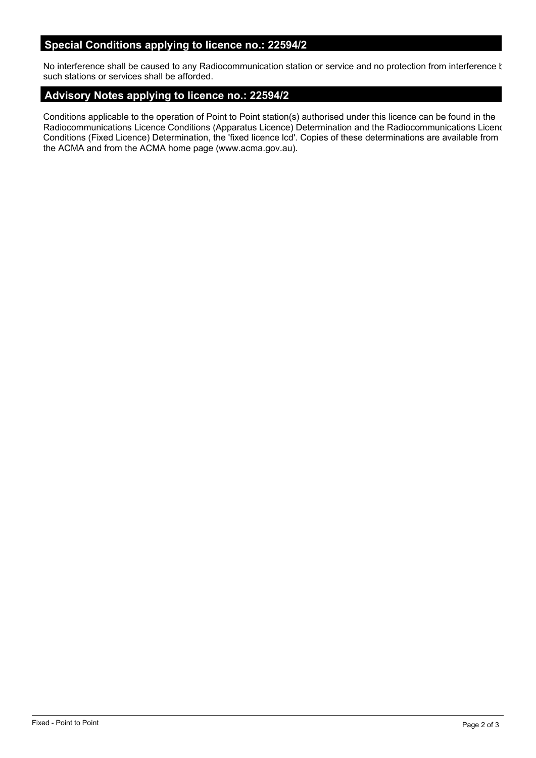## **Special Conditions applying to licence no.: 22594/2**

No interference shall be caused to any Radiocommunication station or service and no protection from interference t such stations or services shall be afforded.

## **Advisory Notes applying to licence no.: 22594/2**

Conditions applicable to the operation of Point to Point station(s) authorised under this licence can be found in the Radiocommunications Licence Conditions (Apparatus Licence) Determination and the Radiocommunications Licence Conditions (Fixed Licence) Determination, the 'fixed licence lcd'. Copies of these determinations are available from the ACMA and from the ACMA home page (www.acma.gov.au).